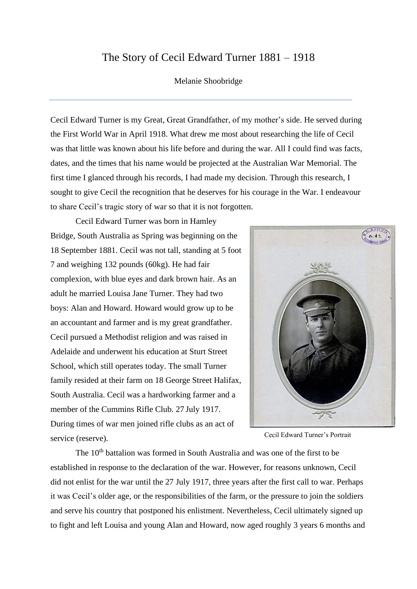## The Story of Cecil Edward Turner 1881 – 1918

## Melanie Shoobridge

Cecil Edward Turner is my Great, Great Grandfather, of my mother's side. He served during the First World War in April 1918. What drew me most about researching the life of Cecil was that little was known about his life before and during the war. All I could find was facts, dates, and the times that his name would be projected at the Australian War Memorial. The first time I glanced through his records, I had made my decision. Through this research, I sought to give Cecil the recognition that he deserves for his courage in the War. I endeavour to share Cecil's tragic story of war so that it is not forgotten.

Cecil Edward Turner was born in Hamley Bridge, South Australia as Spring was beginning on the 18 September 1881. Cecil was not tall, standing at 5 foot 7 and weighing 132 pounds (60kg). He had fair complexion, with blue eyes and dark brown hair. As an adult he married Louisa Jane Turner. They had two boys: Alan and Howard. Howard would grow up to be an accountant and farmer and is my great grandfather. Cecil pursued a Methodist religion and was raised in Adelaide and underwent his education at Sturt Street School, which still operates today. The small Turner family resided at their farm on 18 George Street Halifax, South Australia. Cecil was a hardworking farmer and a member of the Cummins Rifle Club. 27 July 1917. During times of war men joined rifle clubs as an act of service (reserve).



Cecil Edward Turner's Portrait

The  $10<sup>th</sup>$  battalion was formed in South Australia and was one of the first to be established in response to the declaration of the war. However, for reasons unknown, Cecil did not enlist for the war until the 27 July 1917, three years after the first call to war. Perhaps it was Cecil's older age, or the responsibilities of the farm, or the pressure to join the soldiers and serve his country that postponed his enlistment. Nevertheless, Cecil ultimately signed up to fight and left Louisa and young Alan and Howard, now aged roughly 3 years 6 months and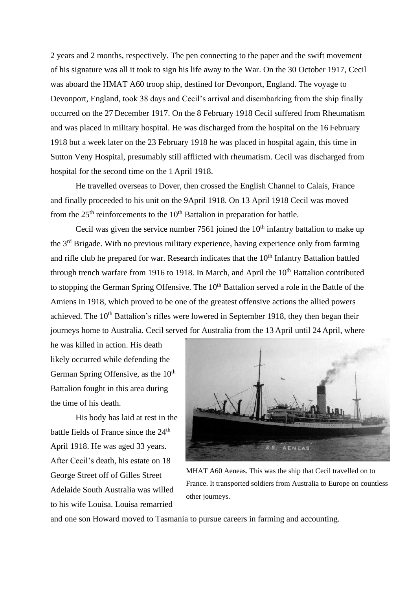2 years and 2 months, respectively. The pen connecting to the paper and the swift movement of his signature was all it took to sign his life away to the War. On the 30 October 1917, Cecil was aboard the HMAT A60 troop ship, destined for Devonport, England. The voyage to Devonport, England, took 38 days and Cecil's arrival and disembarking from the ship finally occurred on the 27 December 1917. On the 8 February 1918 Cecil suffered from Rheumatism and was placed in military hospital. He was discharged from the hospital on the 16 February 1918 but a week later on the 23 February 1918 he was placed in hospital again, this time in Sutton Veny Hospital, presumably still afflicted with rheumatism. Cecil was discharged from hospital for the second time on the 1 April 1918.

He travelled overseas to Dover, then crossed the English Channel to Calais, France and finally proceeded to his unit on the 9April 1918. On 13 April 1918 Cecil was moved from the  $25<sup>th</sup>$  reinforcements to the  $10<sup>th</sup>$  Battalion in preparation for battle.

Cecil was given the service number 7561 joined the  $10<sup>th</sup>$  infantry battalion to make up the 3rd Brigade. With no previous military experience, having experience only from farming and rifle club he prepared for war. Research indicates that the  $10<sup>th</sup>$  Infantry Battalion battled through trench warfare from 1916 to 1918. In March, and April the  $10<sup>th</sup>$  Battalion contributed to stopping the German Spring Offensive. The 10<sup>th</sup> Battalion served a role in the Battle of the Amiens in 1918, which proved to be one of the greatest offensive actions the allied powers achieved. The  $10<sup>th</sup>$  Battalion's rifles were lowered in September 1918, they then began their journeys home to Australia. Cecil served for Australia from the 13 April until 24 April, where

he was killed in action. His death likely occurred while defending the German Spring Offensive, as the  $10<sup>th</sup>$ Battalion fought in this area during the time of his death.

His body has laid at rest in the battle fields of France since the 24<sup>th</sup> April 1918. He was aged 33 years. After Cecil's death, his estate on 18 George Street off of Gilles Street Adelaide South Australia was willed to his wife Louisa. Louisa remarried



MHAT A60 Aeneas. This was the ship that Cecil travelled on to France. It transported soldiers from Australia to Europe on countless other journeys.

and one son Howard moved to Tasmania to pursue careers in farming and accounting.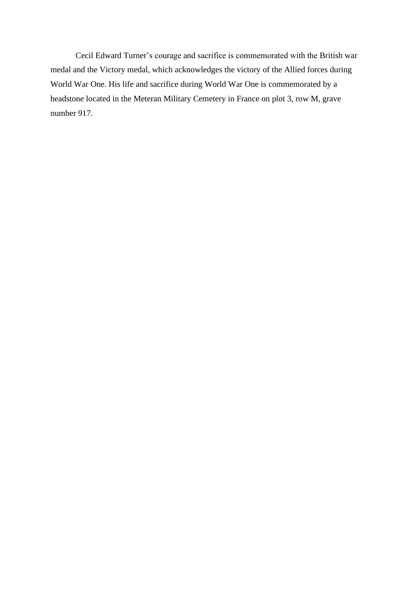Cecil Edward Turner's courage and sacrifice is commemorated with the British war medal and the Victory medal, which acknowledges the victory of the Allied forces during World War One. His life and sacrifice during World War One is commemorated by a headstone located in the Meteran Military Cemetery in France on plot 3, row M, grave number 917.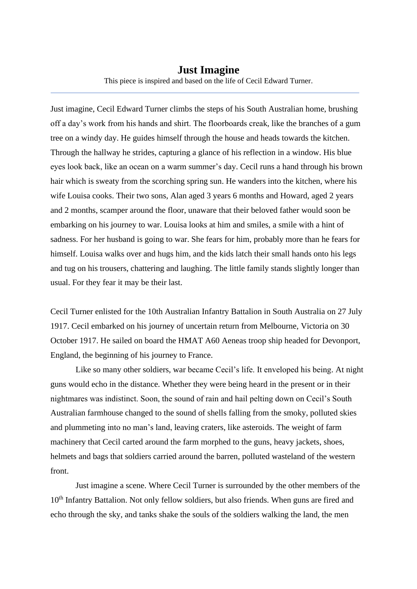Just imagine, Cecil Edward Turner climbs the steps of his South Australian home, brushing off a day's work from his hands and shirt. The floorboards creak, like the branches of a gum tree on a windy day. He guides himself through the house and heads towards the kitchen. Through the hallway he strides, capturing a glance of his reflection in a window. His blue eyes look back, like an ocean on a warm summer's day. Cecil runs a hand through his brown hair which is sweaty from the scorching spring sun. He wanders into the kitchen, where his wife Louisa cooks. Their two sons, Alan aged 3 years 6 months and Howard, aged 2 years and 2 months, scamper around the floor, unaware that their beloved father would soon be embarking on his journey to war. Louisa looks at him and smiles, a smile with a hint of sadness. For her husband is going to war. She fears for him, probably more than he fears for himself. Louisa walks over and hugs him, and the kids latch their small hands onto his legs and tug on his trousers, chattering and laughing. The little family stands slightly longer than usual. For they fear it may be their last.

Cecil Turner enlisted for the 10th Australian Infantry Battalion in South Australia on 27 July 1917. Cecil embarked on his journey of uncertain return from Melbourne, Victoria on 30 October 1917. He sailed on board the HMAT A60 Aeneas troop ship headed for Devonport, England, the beginning of his journey to France.

Like so many other soldiers, war became Cecil's life. It enveloped his being. At night guns would echo in the distance. Whether they were being heard in the present or in their nightmares was indistinct. Soon, the sound of rain and hail pelting down on Cecil's South Australian farmhouse changed to the sound of shells falling from the smoky, polluted skies and plummeting into no man's land, leaving craters, like asteroids. The weight of farm machinery that Cecil carted around the farm morphed to the guns, heavy jackets, shoes, helmets and bags that soldiers carried around the barren, polluted wasteland of the western front.

Just imagine a scene. Where Cecil Turner is surrounded by the other members of the 10<sup>th</sup> Infantry Battalion. Not only fellow soldiers, but also friends. When guns are fired and echo through the sky, and tanks shake the souls of the soldiers walking the land, the men